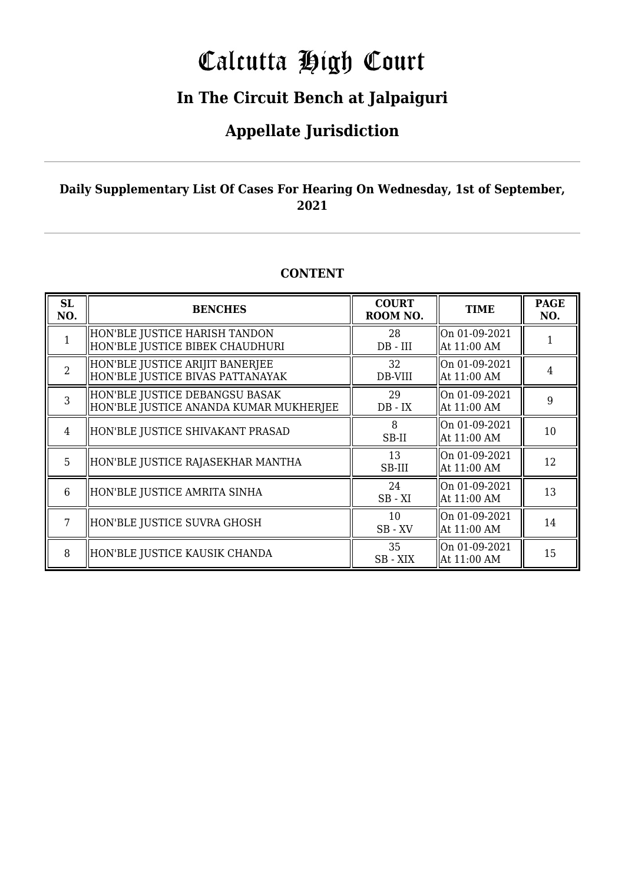# Calcutta High Court

### **In The Circuit Bench at Jalpaiguri**

### **Appellate Jurisdiction**

#### **Daily Supplementary List Of Cases For Hearing On Wednesday, 1st of September, 2021**

#### **CONTENT**

| <b>SL</b><br>NO. | <b>BENCHES</b>                                                           | <b>COURT</b><br>ROOM NO. | <b>TIME</b>                  | <b>PAGE</b><br>NO. |
|------------------|--------------------------------------------------------------------------|--------------------------|------------------------------|--------------------|
|                  | HON'BLE JUSTICE HARISH TANDON<br>HON'BLE JUSTICE BIBEK CHAUDHURI         | 28<br>$DB$ - $III$       | On 01-09-2021<br>At 11:00 AM |                    |
| $\overline{2}$   | HON'BLE JUSTICE ARIJIT BANERJEE<br>HON'BLE JUSTICE BIVAS PATTANAYAK      | 32<br>DB-VIII            | On 01-09-2021<br>At 11:00 AM | 4                  |
| 3                | HON'BLE JUSTICE DEBANGSU BASAK<br>HON'BLE JUSTICE ANANDA KUMAR MUKHERJEE | 29<br>$DB - IX$          | On 01-09-2021<br>At 11:00 AM | 9                  |
| $\overline{4}$   | HON'BLE JUSTICE SHIVAKANT PRASAD                                         | 8<br>SB-II               | On 01-09-2021<br>At 11:00 AM | 10                 |
| 5                | HON'BLE JUSTICE RAJASEKHAR MANTHA                                        | 13<br>SB-III             | On 01-09-2021<br>At 11:00 AM | 12                 |
| 6                | HON'BLE JUSTICE AMRITA SINHA                                             | 24<br>$SB - XI$          | On 01-09-2021<br>At 11:00 AM | 13                 |
| 7                | HON'BLE JUSTICE SUVRA GHOSH                                              | 10<br>$SB$ - $XV$        | On 01-09-2021<br>At 11:00 AM | 14                 |
| 8                | HON'BLE JUSTICE KAUSIK CHANDA                                            | 35<br>SB - XIX           | On 01-09-2021<br>At 11:00 AM | 15                 |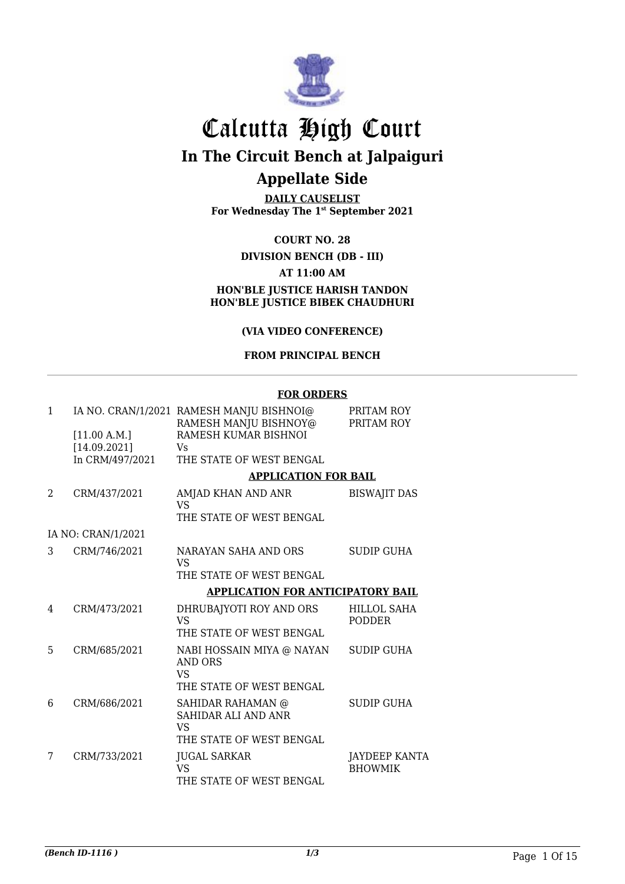

# Calcutta High Court

**In The Circuit Bench at Jalpaiguri**

### **Appellate Side**

**DAILY CAUSELIST For Wednesday The 1st September 2021**

#### **COURT NO. 28**

#### **DIVISION BENCH (DB - III) AT 11:00 AM HON'BLE JUSTICE HARISH TANDON HON'BLE JUSTICE BIBEK CHAUDHURI**

#### **(VIA VIDEO CONFERENCE)**

#### **FROM PRINCIPAL BENCH**

#### **FOR ORDERS**

| $\mathbf{1}$ |                              | IA NO. CRAN/1/2021 RAMESH MANJU BISHNOI@<br>RAMESH MANJU BISHNOY@ | PRITAM ROY<br>PRITAM ROY               |
|--------------|------------------------------|-------------------------------------------------------------------|----------------------------------------|
|              | [11.00 A.M.]<br>[14.09.2021] | RAMESH KUMAR BISHNOI<br>Vs.                                       |                                        |
|              | In CRM/497/2021              | THE STATE OF WEST BENGAL                                          |                                        |
|              |                              | <b>APPLICATION FOR BAIL</b>                                       |                                        |
| 2            | CRM/437/2021                 | AMJAD KHAN AND ANR<br>VS                                          | <b>BISWAJIT DAS</b>                    |
|              |                              | THE STATE OF WEST BENGAL                                          |                                        |
|              | IA NO: CRAN/1/2021           |                                                                   |                                        |
| 3            | CRM/746/2021                 | NARAYAN SAHA AND ORS<br><b>VS</b>                                 | <b>SUDIP GUHA</b>                      |
|              |                              | THE STATE OF WEST BENGAL                                          |                                        |
|              |                              | <b>APPLICATION FOR ANTICIPATORY BAIL</b>                          |                                        |
| 4            | CRM/473/2021                 | DHRUBAJYOTI ROY AND ORS<br><b>VS</b>                              | <b>HILLOL SAHA</b><br><b>PODDER</b>    |
|              |                              | THE STATE OF WEST BENGAL                                          |                                        |
| 5            | CRM/685/2021                 | NABI HOSSAIN MIYA @ NAYAN<br>AND ORS<br>VS                        | <b>SUDIP GUHA</b>                      |
|              |                              | THE STATE OF WEST BENGAL                                          |                                        |
| 6            | CRM/686/2021                 | SAHIDAR RAHAMAN @<br>SAHIDAR ALI AND ANR<br><b>VS</b>             | <b>SUDIP GUHA</b>                      |
|              |                              | THE STATE OF WEST BENGAL                                          |                                        |
| 7            | CRM/733/2021                 | <b>JUGAL SARKAR</b><br>VS                                         | <b>JAYDEEP KANTA</b><br><b>BHOWMIK</b> |
|              |                              | THE STATE OF WEST BENGAL                                          |                                        |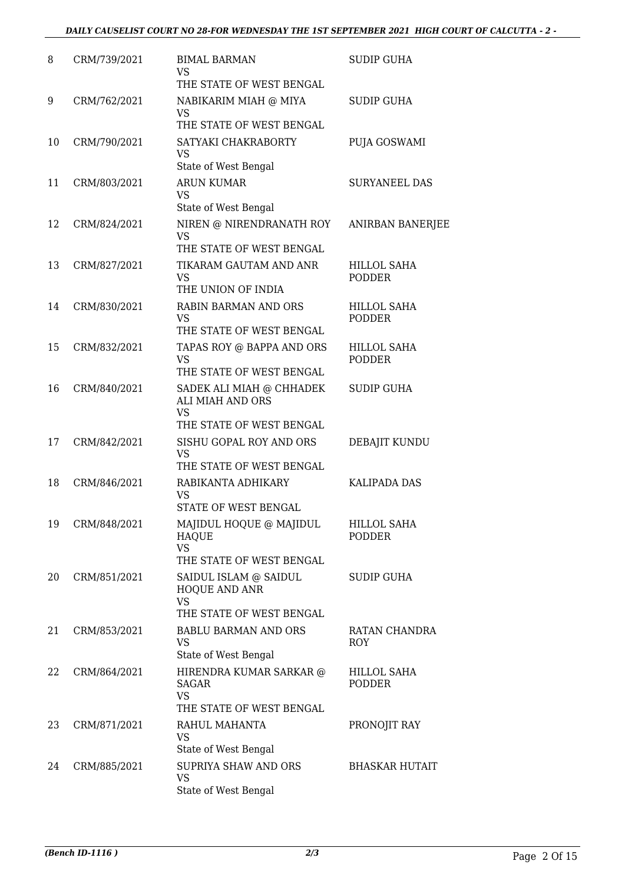| 8  | CRM/739/2021 | <b>BIMAL BARMAN</b><br>VS<br>THE STATE OF WEST BENGAL                                 | <b>SUDIP GUHA</b>                   |
|----|--------------|---------------------------------------------------------------------------------------|-------------------------------------|
| 9  | CRM/762/2021 | NABIKARIM MIAH @ MIYA<br>VS<br>THE STATE OF WEST BENGAL                               | <b>SUDIP GUHA</b>                   |
| 10 | CRM/790/2021 | SATYAKI CHAKRABORTY<br>VS<br>State of West Bengal                                     | PUJA GOSWAMI                        |
| 11 | CRM/803/2021 | <b>ARUN KUMAR</b><br><b>VS</b><br>State of West Bengal                                | <b>SURYANEEL DAS</b>                |
| 12 | CRM/824/2021 | NIREN @ NIRENDRANATH ROY<br><b>VS</b><br>THE STATE OF WEST BENGAL                     | ANIRBAN BANERJEE                    |
| 13 | CRM/827/2021 | TIKARAM GAUTAM AND ANR<br><b>VS</b><br>THE UNION OF INDIA                             | <b>HILLOL SAHA</b><br><b>PODDER</b> |
| 14 | CRM/830/2021 | <b>RABIN BARMAN AND ORS</b><br><b>VS</b><br>THE STATE OF WEST BENGAL                  | <b>HILLOL SAHA</b><br><b>PODDER</b> |
| 15 | CRM/832/2021 | TAPAS ROY @ BAPPA AND ORS<br><b>VS</b><br>THE STATE OF WEST BENGAL                    | <b>HILLOL SAHA</b><br><b>PODDER</b> |
| 16 | CRM/840/2021 | SADEK ALI MIAH @ CHHADEK<br>ALI MIAH AND ORS<br><b>VS</b><br>THE STATE OF WEST BENGAL | <b>SUDIP GUHA</b>                   |
| 17 | CRM/842/2021 | SISHU GOPAL ROY AND ORS<br><b>VS</b><br>THE STATE OF WEST BENGAL                      | DEBAJIT KUNDU                       |
| 18 | CRM/846/2021 | RABIKANTA ADHIKARY<br>VS<br>STATE OF WEST BENGAL                                      | KALIPADA DAS                        |
| 19 | CRM/848/2021 | MAJIDUL HOQUE @ MAJIDUL<br><b>HAOUE</b><br><b>VS</b><br>THE STATE OF WEST BENGAL      | HILLOL SAHA<br><b>PODDER</b>        |
| 20 | CRM/851/2021 | SAIDUL ISLAM @ SAIDUL<br>HOQUE AND ANR<br><b>VS</b><br>THE STATE OF WEST BENGAL       | SUDIP GUHA                          |
| 21 | CRM/853/2021 | <b>BABLU BARMAN AND ORS</b><br>VS<br>State of West Bengal                             | RATAN CHANDRA<br><b>ROY</b>         |
| 22 | CRM/864/2021 | HIRENDRA KUMAR SARKAR @<br>SAGAR<br><b>VS</b><br>THE STATE OF WEST BENGAL             | HILLOL SAHA<br><b>PODDER</b>        |
| 23 | CRM/871/2021 | RAHUL MAHANTA<br>VS<br>State of West Bengal                                           | PRONOJIT RAY                        |
| 24 | CRM/885/2021 | SUPRIYA SHAW AND ORS<br><b>VS</b><br>State of West Bengal                             | <b>BHASKAR HUTAIT</b>               |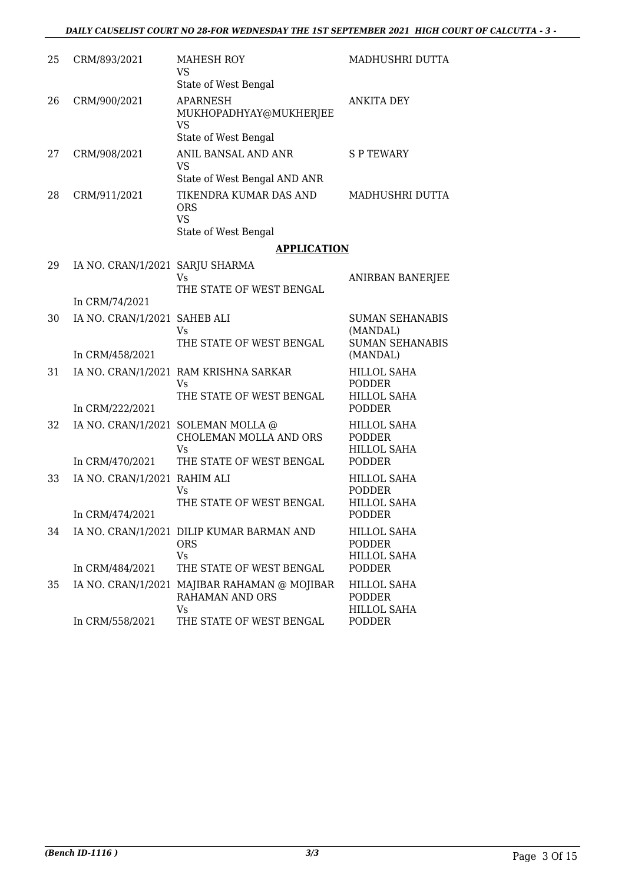| 25 | CRM/893/2021                    | MAHESH ROY<br>VS<br>State of West Bengal                                  | MADHUSHRI DUTTA                                              |
|----|---------------------------------|---------------------------------------------------------------------------|--------------------------------------------------------------|
| 26 | CRM/900/2021                    | <b>APARNESH</b><br>MUKHOPADHYAY@MUKHERJEE<br>VS<br>State of West Bengal   | <b>ANKITA DEY</b>                                            |
| 27 | CRM/908/2021                    | ANIL BANSAL AND ANR<br>VS<br>State of West Bengal AND ANR                 | <b>SPTEWARY</b>                                              |
| 28 | CRM/911/2021                    | TIKENDRA KUMAR DAS AND<br><b>ORS</b><br><b>VS</b><br>State of West Bengal | MADHUSHRI DUTTA                                              |
|    |                                 | <b>APPLICATION</b>                                                        |                                                              |
| 29 | IA NO. CRAN/1/2021 SARJU SHARMA | Vs<br>THE STATE OF WEST BENGAL                                            | <b>ANIRBAN BANERJEE</b>                                      |
|    | In CRM/74/2021                  |                                                                           |                                                              |
| 30 | IA NO. CRAN/1/2021 SAHEB ALI    | Vs<br>THE STATE OF WEST BENGAL                                            | <b>SUMAN SEHANABIS</b><br>(MANDAL)<br><b>SUMAN SEHANABIS</b> |
|    | In CRM/458/2021                 |                                                                           | (MANDAL)                                                     |
| 31 |                                 | IA NO. CRAN/1/2021 RAM KRISHNA SARKAR<br>Vs<br>THE STATE OF WEST BENGAL   | <b>HILLOL SAHA</b><br><b>PODDER</b><br><b>HILLOL SAHA</b>    |
|    | In CRM/222/2021                 |                                                                           | <b>PODDER</b>                                                |
| 32 |                                 | IA NO. CRAN/1/2021 SOLEMAN MOLLA @<br>CHOLEMAN MOLLA AND ORS<br>Vs        | HILLOL SAHA<br><b>PODDER</b><br><b>HILLOL SAHA</b>           |
|    | In CRM/470/2021                 | THE STATE OF WEST BENGAL                                                  | <b>PODDER</b>                                                |
| 33 | IA NO. CRAN/1/2021 RAHIM ALI    | Vs<br>THE STATE OF WEST BENGAL                                            | <b>HILLOL SAHA</b><br><b>PODDER</b><br><b>HILLOL SAHA</b>    |
|    | In CRM/474/2021                 |                                                                           | PODDER                                                       |
| 34 |                                 | IA NO. CRAN/1/2021 DILIP KUMAR BARMAN AND<br><b>ORS</b><br>Vs             | <b>HILLOL SAHA</b><br>PODDER<br><b>HILLOL SAHA</b>           |
|    | In CRM/484/2021                 | THE STATE OF WEST BENGAL                                                  | <b>PODDER</b>                                                |
| 35 |                                 | IA NO. CRAN/1/2021 MAJIBAR RAHAMAN @ MOJIBAR<br>RAHAMAN AND ORS<br>Vs.    | <b>HILLOL SAHA</b><br><b>PODDER</b><br><b>HILLOL SAHA</b>    |
|    | In CRM/558/2021                 | THE STATE OF WEST BENGAL                                                  | PODDER                                                       |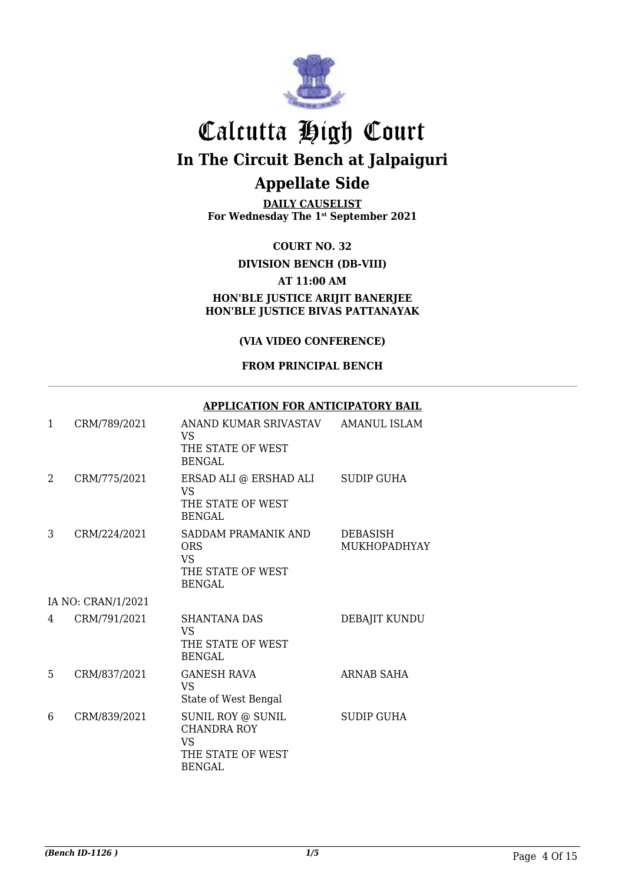

**DAILY CAUSELIST For Wednesday The 1st September 2021**

**COURT NO. 32**

#### **DIVISION BENCH (DB-VIII)**

#### **AT 11:00 AM**

**HON'BLE JUSTICE ARIJIT BANERJEE HON'BLE JUSTICE BIVAS PATTANAYAK**

#### **(VIA VIDEO CONFERENCE)**

#### **FROM PRINCIPAL BENCH**

#### **APPLICATION FOR ANTICIPATORY BAIL**

| 1 | CRM/789/2021       | ANAND KUMAR SRIVASTAV<br>VS.<br>THE STATE OF WEST<br><b>BENGAL</b>                         | <b>AMANUL ISLAM</b>                    |
|---|--------------------|--------------------------------------------------------------------------------------------|----------------------------------------|
| 2 | CRM/775/2021       | ERSAD ALI @ ERSHAD ALI<br>VS<br>THE STATE OF WEST<br>BENGAL                                | <b>SUDIP GUHA</b>                      |
| 3 | CRM/224/2021       | SADDAM PRAMANIK AND<br><b>ORS</b><br>VS.<br>THE STATE OF WEST<br><b>BENGAL</b>             | <b>DEBASISH</b><br><b>MUKHOPADHYAY</b> |
|   | IA NO: CRAN/1/2021 |                                                                                            |                                        |
| 4 | CRM/791/2021       | SHANTANA DAS<br>VS.<br>THE STATE OF WEST<br><b>BENGAL</b>                                  | DEBAJIT KUNDU                          |
| 5 | CRM/837/2021       | <b>GANESH RAVA</b><br><b>VS</b><br>State of West Bengal                                    | ARNAB SAHA                             |
| 6 | CRM/839/2021       | SUNIL ROY @ SUNIL<br><b>CHANDRA ROY</b><br><b>VS</b><br>THE STATE OF WEST<br><b>BENGAL</b> | <b>SUDIP GUHA</b>                      |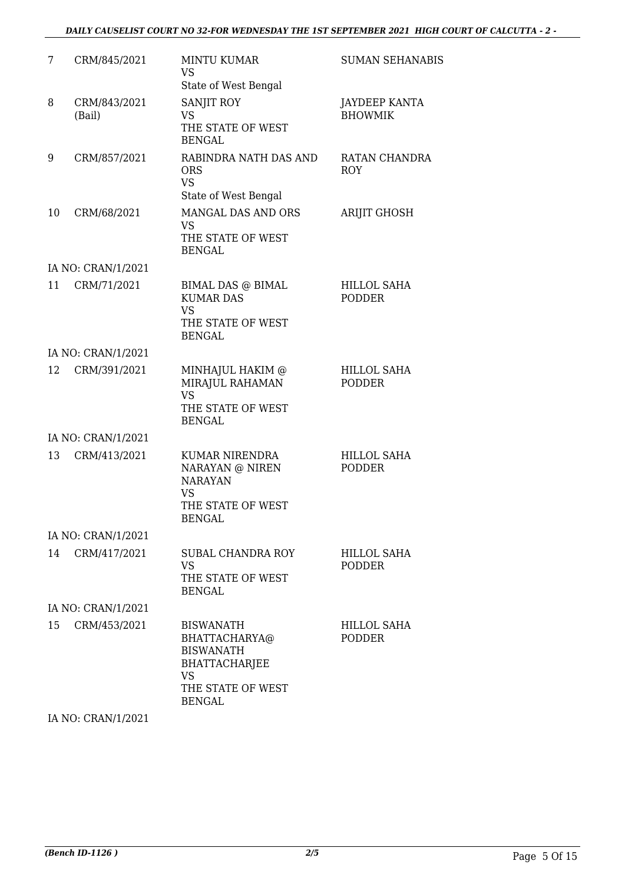#### *DAILY CAUSELIST COURT NO 32-FOR WEDNESDAY THE 1ST SEPTEMBER 2021 HIGH COURT OF CALCUTTA - 2 -*

| 7  | CRM/845/2021           | <b>MINTU KUMAR</b><br><b>VS</b>                                                                                                  | <b>SUMAN SEHANABIS</b>                 |
|----|------------------------|----------------------------------------------------------------------------------------------------------------------------------|----------------------------------------|
|    |                        | State of West Bengal                                                                                                             |                                        |
| 8  | CRM/843/2021<br>(Bail) | <b>SANJIT ROY</b><br><b>VS</b><br>THE STATE OF WEST<br><b>BENGAL</b>                                                             | <b>JAYDEEP KANTA</b><br><b>BHOWMIK</b> |
| 9  | CRM/857/2021           | RABINDRA NATH DAS AND<br><b>ORS</b><br><b>VS</b>                                                                                 | RATAN CHANDRA<br><b>ROY</b>            |
|    |                        | State of West Bengal                                                                                                             |                                        |
| 10 | CRM/68/2021            | MANGAL DAS AND ORS<br><b>VS</b><br>THE STATE OF WEST                                                                             | <b>ARIJIT GHOSH</b>                    |
|    |                        | <b>BENGAL</b>                                                                                                                    |                                        |
|    | IA NO: CRAN/1/2021     |                                                                                                                                  |                                        |
| 11 | CRM/71/2021            | BIMAL DAS @ BIMAL<br><b>KUMAR DAS</b><br><b>VS</b><br>THE STATE OF WEST                                                          | <b>HILLOL SAHA</b><br><b>PODDER</b>    |
|    |                        | <b>BENGAL</b>                                                                                                                    |                                        |
|    | IA NO: CRAN/1/2021     |                                                                                                                                  |                                        |
| 12 | CRM/391/2021           | MINHAJUL HAKIM @<br>MIRAJUL RAHAMAN<br><b>VS</b><br>THE STATE OF WEST<br><b>BENGAL</b>                                           | HILLOL SAHA<br><b>PODDER</b>           |
|    | IA NO: CRAN/1/2021     |                                                                                                                                  |                                        |
| 13 | CRM/413/2021           | KUMAR NIRENDRA<br>NARAYAN @ NIREN<br><b>NARAYAN</b><br><b>VS</b><br>THE STATE OF WEST<br>BENGAL                                  | <b>HILLOL SAHA</b><br><b>PODDER</b>    |
|    | IA NO: CRAN/1/2021     |                                                                                                                                  |                                        |
| 14 | CRM/417/2021           | <b>SUBAL CHANDRA ROY</b><br><b>VS</b><br>THE STATE OF WEST<br><b>BENGAL</b>                                                      | <b>HILLOL SAHA</b><br><b>PODDER</b>    |
|    | IA NO: CRAN/1/2021     |                                                                                                                                  |                                        |
| 15 | CRM/453/2021           | <b>BISWANATH</b><br>BHATTACHARYA@<br><b>BISWANATH</b><br><b>BHATTACHARJEE</b><br><b>VS</b><br>THE STATE OF WEST<br><b>BENGAL</b> | <b>HILLOL SAHA</b><br><b>PODDER</b>    |

IA NO: CRAN/1/2021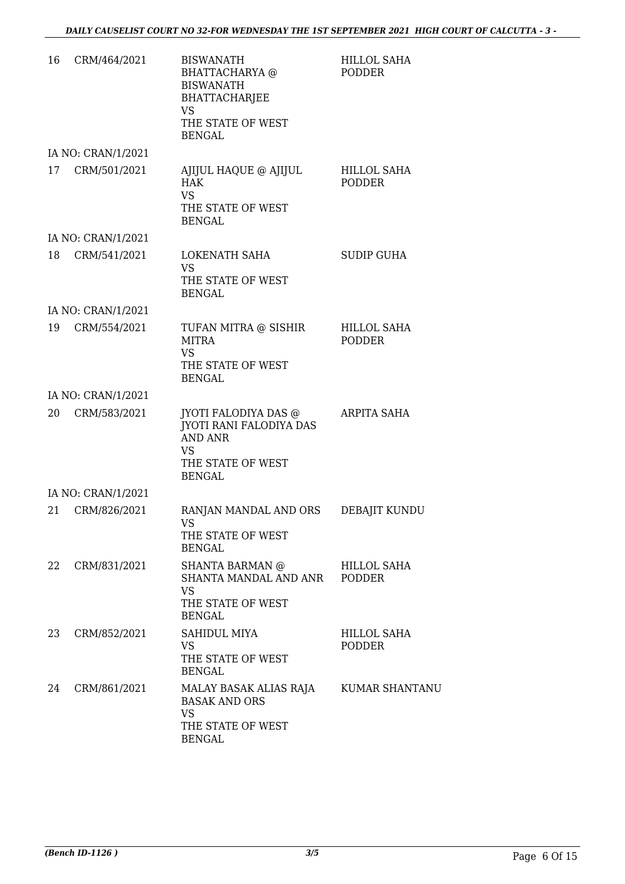| 16 | CRM/464/2021       | <b>BISWANATH</b><br>BHATTACHARYA @<br><b>BISWANATH</b><br><b>BHATTACHARJEE</b><br><b>VS</b>                                 | <b>HILLOL SAHA</b><br><b>PODDER</b> |
|----|--------------------|-----------------------------------------------------------------------------------------------------------------------------|-------------------------------------|
|    |                    | THE STATE OF WEST<br><b>BENGAL</b>                                                                                          |                                     |
|    | IA NO: CRAN/1/2021 |                                                                                                                             |                                     |
| 17 | CRM/501/2021       | AJIJUL HAQUE @ AJIJUL<br><b>HAK</b><br><b>VS</b><br>THE STATE OF WEST<br><b>BENGAL</b>                                      | <b>HILLOL SAHA</b><br><b>PODDER</b> |
|    | IA NO: CRAN/1/2021 |                                                                                                                             |                                     |
| 18 | CRM/541/2021       | LOKENATH SAHA<br><b>VS</b><br>THE STATE OF WEST                                                                             | <b>SUDIP GUHA</b>                   |
|    |                    | <b>BENGAL</b>                                                                                                               |                                     |
|    | IA NO: CRAN/1/2021 |                                                                                                                             |                                     |
| 19 | CRM/554/2021       | TUFAN MITRA @ SISHIR<br><b>MITRA</b><br><b>VS</b><br>THE STATE OF WEST<br><b>BENGAL</b>                                     | <b>HILLOL SAHA</b><br><b>PODDER</b> |
|    | IA NO: CRAN/1/2021 |                                                                                                                             |                                     |
| 20 | CRM/583/2021       | JYOTI FALODIYA DAS @<br><b>JYOTI RANI FALODIYA DAS</b><br><b>AND ANR</b><br><b>VS</b><br>THE STATE OF WEST<br><b>BENGAL</b> | ARPITA SAHA                         |
|    | IA NO: CRAN/1/2021 |                                                                                                                             |                                     |
| 21 | CRM/826/2021       | RANJAN MANDAL AND ORS<br>VS –<br>THE STATE OF WEST<br><b>BENGAL</b>                                                         | DEBAJIT KUNDU                       |
| 22 | CRM/831/2021       | <b>SHANTA BARMAN @</b><br>SHANTA MANDAL AND ANR<br><b>VS</b><br>THE STATE OF WEST<br><b>BENGAL</b>                          | HILLOL SAHA<br>PODDER               |
| 23 | CRM/852/2021       | SAHIDUL MIYA<br><b>VS</b><br>THE STATE OF WEST<br><b>BENGAL</b>                                                             | HILLOL SAHA<br><b>PODDER</b>        |
| 24 | CRM/861/2021       | MALAY BASAK ALIAS RAJA KUMAR SHANTANU<br><b>BASAK AND ORS</b><br><b>VS</b><br>THE STATE OF WEST<br><b>BENGAL</b>            |                                     |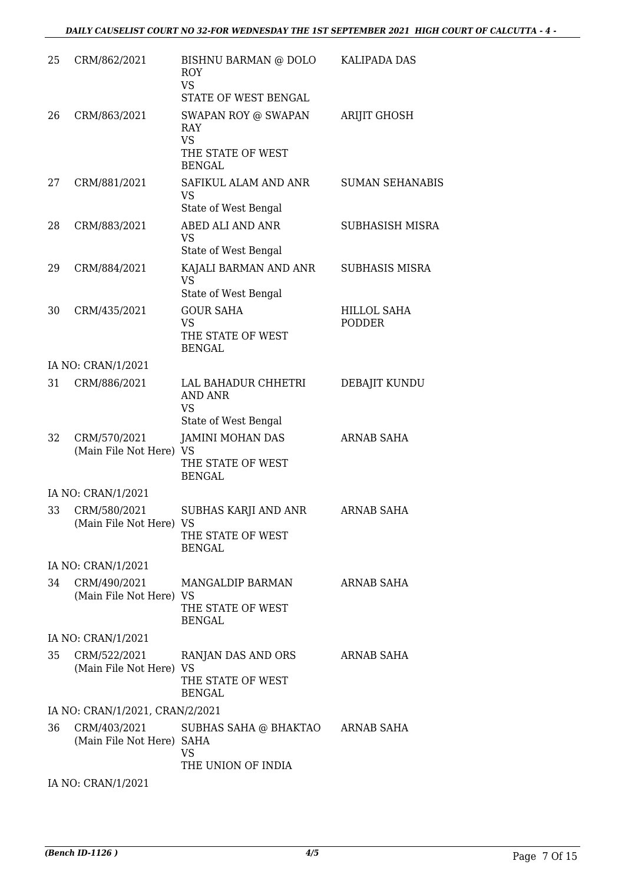| 25 | CRM/862/2021                              | BISHNU BARMAN @ DOLO<br><b>ROY</b><br><b>VS</b><br>STATE OF WEST BENGAL    | <b>KALIPADA DAS</b>                 |
|----|-------------------------------------------|----------------------------------------------------------------------------|-------------------------------------|
| 26 | CRM/863/2021                              | SWAPAN ROY @ SWAPAN<br><b>RAY</b><br><b>VS</b><br>THE STATE OF WEST        | <b>ARIJIT GHOSH</b>                 |
|    |                                           | <b>BENGAL</b>                                                              |                                     |
| 27 | CRM/881/2021                              | SAFIKUL ALAM AND ANR<br><b>VS</b><br>State of West Bengal                  | <b>SUMAN SEHANABIS</b>              |
| 28 | CRM/883/2021                              | ABED ALI AND ANR<br><b>VS</b><br>State of West Bengal                      | SUBHASISH MISRA                     |
| 29 | CRM/884/2021                              | KAJALI BARMAN AND ANR<br><b>VS</b><br>State of West Bengal                 | <b>SUBHASIS MISRA</b>               |
| 30 | CRM/435/2021                              | <b>GOUR SAHA</b><br><b>VS</b><br>THE STATE OF WEST<br><b>BENGAL</b>        | <b>HILLOL SAHA</b><br><b>PODDER</b> |
|    | IA NO: CRAN/1/2021                        |                                                                            |                                     |
| 31 | CRM/886/2021                              | LAL BAHADUR CHHETRI<br><b>AND ANR</b><br><b>VS</b><br>State of West Bengal | DEBAJIT KUNDU                       |
| 32 | CRM/570/2021<br>(Main File Not Here) VS   | <b>JAMINI MOHAN DAS</b><br>THE STATE OF WEST<br><b>BENGAL</b>              | <b>ARNAB SAHA</b>                   |
|    | IA NO: CRAN/1/2021                        |                                                                            |                                     |
| 33 | CRM/580/2021<br>(Main File Not Here) VS   | SUBHAS KARJI AND ANR<br>THE STATE OF WEST<br><b>BENGAL</b>                 | <b>ARNAB SAHA</b>                   |
|    | IA NO: CRAN/1/2021                        |                                                                            |                                     |
| 34 | CRM/490/2021<br>(Main File Not Here) VS   | MANGALDIP BARMAN<br>THE STATE OF WEST<br><b>BENGAL</b>                     | ARNAB SAHA                          |
|    | IA NO: CRAN/1/2021                        |                                                                            |                                     |
| 35 | CRM/522/2021<br>(Main File Not Here) VS   | RANJAN DAS AND ORS<br>THE STATE OF WEST<br><b>BENGAL</b>                   | <b>ARNAB SAHA</b>                   |
|    | IA NO: CRAN/1/2021, CRAN/2/2021           |                                                                            |                                     |
| 36 | CRM/403/2021<br>(Main File Not Here) SAHA | SUBHAS SAHA @ BHAKTAO ARNAB SAHA<br><b>VS</b><br>THE UNION OF INDIA        |                                     |
|    | IA NO: CRAN/1/2021                        |                                                                            |                                     |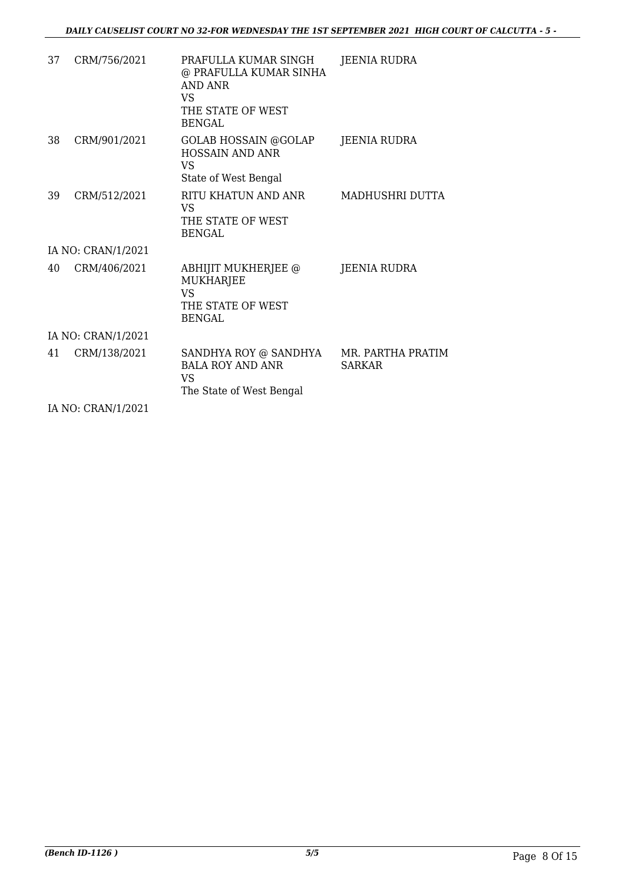| 37 | CRM/756/2021       | PRAFULLA KUMAR SINGH<br>@ PRAFULLA KUMAR SINHA<br><b>AND ANR</b><br><b>VS</b><br>THE STATE OF WEST<br><b>BENGAL</b> | <b>JEENIA RUDRA</b>                |
|----|--------------------|---------------------------------------------------------------------------------------------------------------------|------------------------------------|
| 38 | CRM/901/2021       | <b>GOLAB HOSSAIN @GOLAP</b><br><b>HOSSAIN AND ANR</b><br><b>VS</b><br>State of West Bengal                          | JEENIA RUDRA                       |
| 39 | CRM/512/2021       | RITU KHATUN AND ANR<br>VS<br>THE STATE OF WEST<br><b>BENGAL</b>                                                     | MADHUSHRI DUTTA                    |
|    | IA NO: CRAN/1/2021 |                                                                                                                     |                                    |
| 40 | CRM/406/2021       | ABHIJIT MUKHERJEE @<br><b>MUKHARJEE</b><br>VS<br>THE STATE OF WEST<br><b>BENGAL</b>                                 | <b>JEENIA RUDRA</b>                |
|    | IA NO: CRAN/1/2021 |                                                                                                                     |                                    |
| 41 | CRM/138/2021       | SANDHYA ROY @ SANDHYA<br><b>BALA ROY AND ANR</b><br>VS<br>The State of West Bengal                                  | MR. PARTHA PRATIM<br><b>SARKAR</b> |
|    |                    |                                                                                                                     |                                    |

IA NO: CRAN/1/2021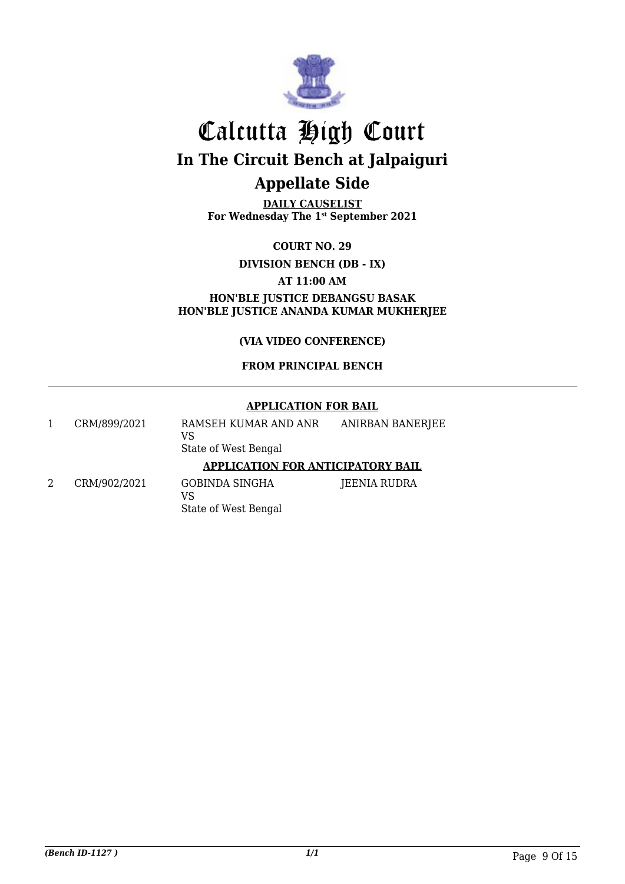

**DAILY CAUSELIST For Wednesday The 1st September 2021**

**COURT NO. 29**

**DIVISION BENCH (DB - IX)**

**AT 11:00 AM**

**HON'BLE JUSTICE DEBANGSU BASAK HON'BLE JUSTICE ANANDA KUMAR MUKHERJEE**

**(VIA VIDEO CONFERENCE)**

#### **FROM PRINCIPAL BENCH**

#### **APPLICATION FOR BAIL**

|   | CRM/899/2021 | RAMSEH KUMAR AND ANR<br>VS<br>State of West Bengal | ANIRBAN BANERJEE |
|---|--------------|----------------------------------------------------|------------------|
|   |              | <b>APPLICATION FOR ANTICIPATORY BAIL</b>           |                  |
| 2 | CRM/902/2021 | GOBINDA SINGHA<br>VS<br>State of West Bengal       | JEENIA RUDRA     |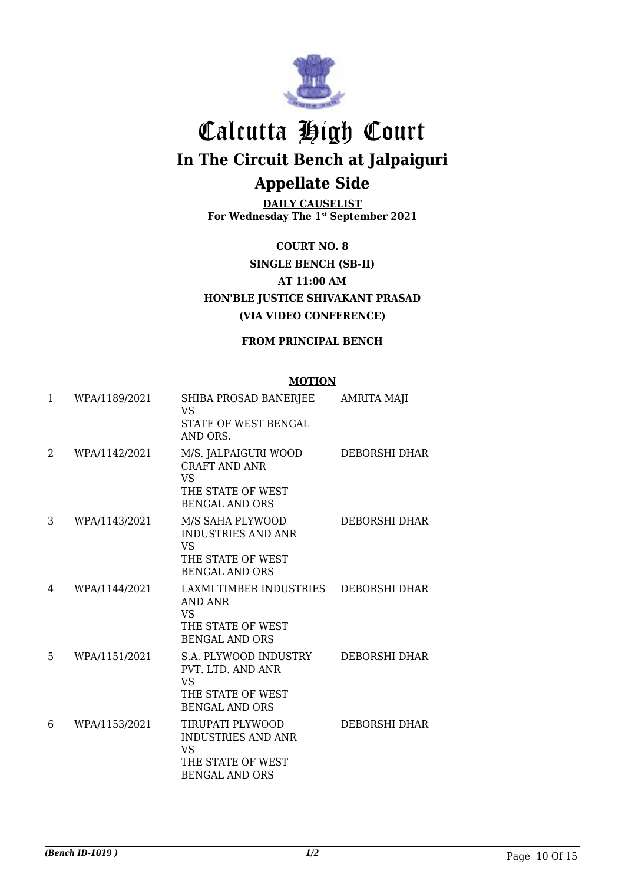

**DAILY CAUSELIST For Wednesday The 1st September 2021**

**COURT NO. 8 SINGLE BENCH (SB-II) AT 11:00 AM HON'BLE JUSTICE SHIVAKANT PRASAD (VIA VIDEO CONFERENCE)**

#### **FROM PRINCIPAL BENCH**

#### **MOTION**

| 1  | WPA/1189/2021 | SHIBA PROSAD BANERJEE<br>VS<br>STATE OF WEST BENGAL<br>AND ORS.                                          | <b>AMRITA MAJI</b> |
|----|---------------|----------------------------------------------------------------------------------------------------------|--------------------|
| 2  | WPA/1142/2021 | M/S. JALPAIGURI WOOD<br><b>CRAFT AND ANR</b><br><b>VS</b><br>THE STATE OF WEST<br><b>BENGAL AND ORS</b>  | DEBORSHI DHAR      |
| 3  | WPA/1143/2021 | M/S SAHA PLYWOOD<br><b>INDUSTRIES AND ANR</b><br><b>VS</b><br>THE STATE OF WEST<br><b>BENGAL AND ORS</b> | DEBORSHI DHAR      |
| 4  | WPA/1144/2021 | LAXMI TIMBER INDUSTRIES<br><b>AND ANR</b><br>VS.<br>THE STATE OF WEST<br><b>BENGAL AND ORS</b>           | DEBORSHI DHAR      |
| 5. | WPA/1151/2021 | S.A. PLYWOOD INDUSTRY<br>PVT. LTD. AND ANR<br><b>VS</b><br>THE STATE OF WEST<br><b>BENGAL AND ORS</b>    | DEBORSHI DHAR      |
| 6  | WPA/1153/2021 | TIRUPATI PLYWOOD<br><b>INDUSTRIES AND ANR</b><br>VS.<br>THE STATE OF WEST<br><b>BENGAL AND ORS</b>       | DEBORSHI DHAR      |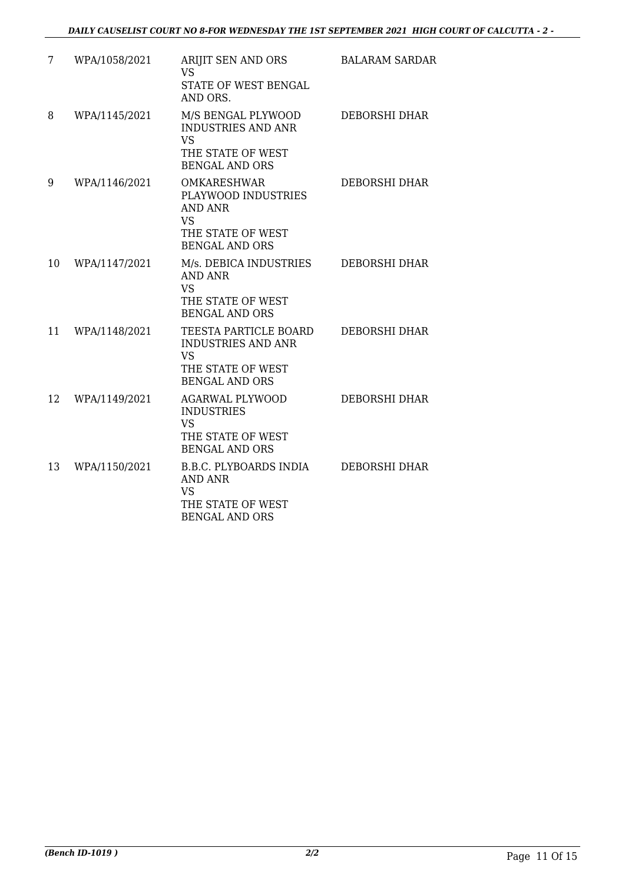| 7  | WPA/1058/2021 | ARIJIT SEN AND ORS<br>VS.<br>STATE OF WEST BENGAL<br>AND ORS.                                                          | <b>BALARAM SARDAR</b> |
|----|---------------|------------------------------------------------------------------------------------------------------------------------|-----------------------|
| 8  | WPA/1145/2021 | M/S BENGAL PLYWOOD<br><b>INDUSTRIES AND ANR</b><br><b>VS</b><br>THE STATE OF WEST<br><b>BENGAL AND ORS</b>             | DEBORSHI DHAR         |
| 9  | WPA/1146/2021 | <b>OMKARESHWAR</b><br>PLAYWOOD INDUSTRIES<br><b>AND ANR</b><br><b>VS</b><br>THE STATE OF WEST<br><b>BENGAL AND ORS</b> | DEBORSHI DHAR         |
| 10 | WPA/1147/2021 | M/s. DEBICA INDUSTRIES<br><b>AND ANR</b><br><b>VS</b><br>THE STATE OF WEST<br><b>BENGAL AND ORS</b>                    | DEBORSHI DHAR         |
| 11 | WPA/1148/2021 | TEESTA PARTICLE BOARD<br><b>INDUSTRIES AND ANR</b><br><b>VS</b><br>THE STATE OF WEST<br><b>BENGAL AND ORS</b>          | <b>DEBORSHI DHAR</b>  |
| 12 | WPA/1149/2021 | <b>AGARWAL PLYWOOD</b><br><b>INDUSTRIES</b><br><b>VS</b><br>THE STATE OF WEST<br><b>BENGAL AND ORS</b>                 | DEBORSHI DHAR         |
| 13 | WPA/1150/2021 | B.B.C. PLYBOARDS INDIA<br><b>AND ANR</b><br><b>VS</b><br>THE STATE OF WEST<br><b>BENGAL AND ORS</b>                    | DEBORSHI DHAR         |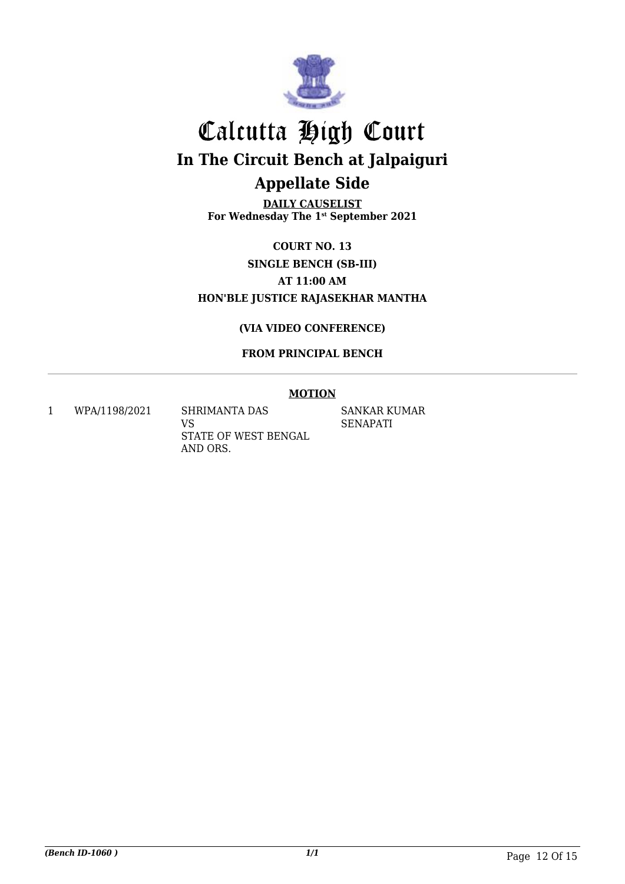

**DAILY CAUSELIST For Wednesday The 1st September 2021**

**COURT NO. 13 SINGLE BENCH (SB-III) AT 11:00 AM HON'BLE JUSTICE RAJASEKHAR MANTHA**

#### **(VIA VIDEO CONFERENCE)**

#### **FROM PRINCIPAL BENCH**

#### **MOTION**

1 WPA/1198/2021 SHRIMANTA DAS

VS STATE OF WEST BENGAL AND ORS.

SANKAR KUMAR SENAPATI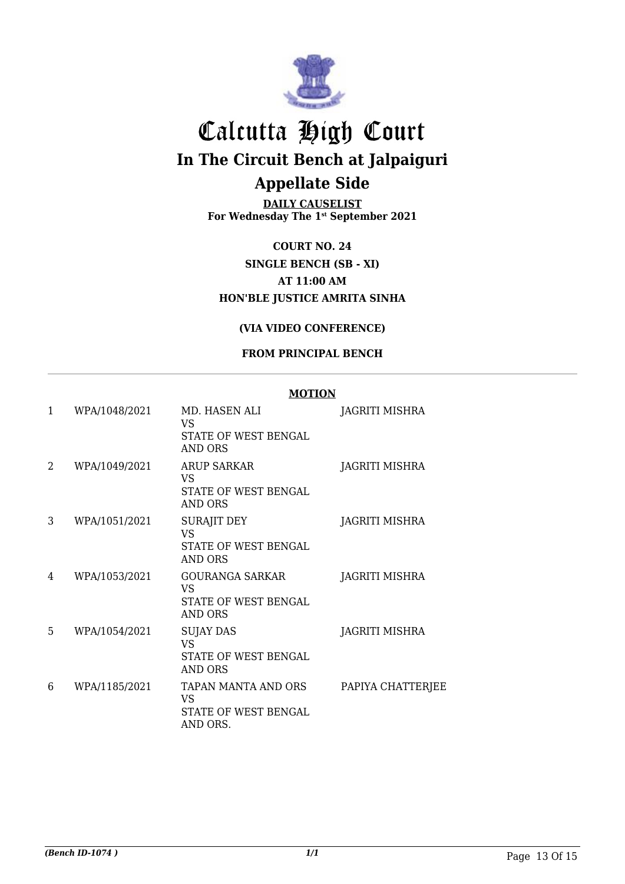

**DAILY CAUSELIST For Wednesday The 1st September 2021**

**COURT NO. 24 SINGLE BENCH (SB - XI) AT 11:00 AM HON'BLE JUSTICE AMRITA SINHA**

#### **(VIA VIDEO CONFERENCE)**

#### **FROM PRINCIPAL BENCH**

#### **MOTION**

| $\mathbf{1}$ | WPA/1048/2021 | MD. HASEN ALI<br>VS<br>STATE OF WEST BENGAL<br>AND ORS           | <b>JAGRITI MISHRA</b> |
|--------------|---------------|------------------------------------------------------------------|-----------------------|
| 2            | WPA/1049/2021 | <b>ARUP SARKAR</b><br>VS<br>STATE OF WEST BENGAL<br>AND ORS      | JAGRITI MISHRA        |
| 3            | WPA/1051/2021 | SURAJIT DEY<br>VS<br>STATE OF WEST BENGAL<br>AND ORS             | JAGRITI MISHRA        |
| 4            | WPA/1053/2021 | <b>GOURANGA SARKAR</b><br>VS<br>STATE OF WEST BENGAL<br>AND ORS  | <b>JAGRITI MISHRA</b> |
| 5            | WPA/1054/2021 | <b>SUJAY DAS</b><br><b>VS</b><br>STATE OF WEST BENGAL<br>AND ORS | JAGRITI MISHRA        |
| 6            | WPA/1185/2021 | TAPAN MANTA AND ORS<br>VS<br>STATE OF WEST BENGAL<br>AND ORS.    | PAPIYA CHATTERJEE     |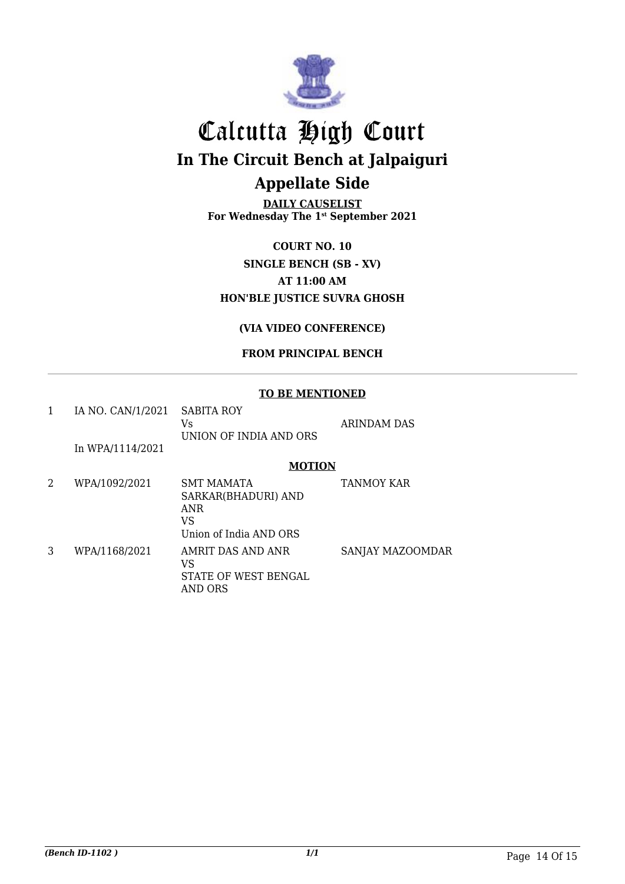

**DAILY CAUSELIST For Wednesday The 1st September 2021**

**COURT NO. 10 SINGLE BENCH (SB - XV) AT 11:00 AM HON'BLE JUSTICE SUVRA GHOSH**

#### **(VIA VIDEO CONFERENCE)**

#### **FROM PRINCIPAL BENCH**

#### **TO BE MENTIONED**

|   | IA NO. CAN/1/2021 | <b>SABITA ROY</b><br>Vs<br>UNION OF INDIA AND ORS                                      | <b>ARINDAM DAS</b> |
|---|-------------------|----------------------------------------------------------------------------------------|--------------------|
|   | In WPA/1114/2021  |                                                                                        |                    |
|   |                   | <b>MOTION</b>                                                                          |                    |
| 2 | WPA/1092/2021     | <b>SMT MAMATA</b><br>SARKAR(BHADURI) AND<br><b>ANR</b><br>VS<br>Union of India AND ORS | <b>TANMOY KAR</b>  |
| 3 | WPA/1168/2021     | AMRIT DAS AND ANR<br>VS<br>STATE OF WEST BENGAL<br><b>AND ORS</b>                      | SANJAY MAZOOMDAR   |